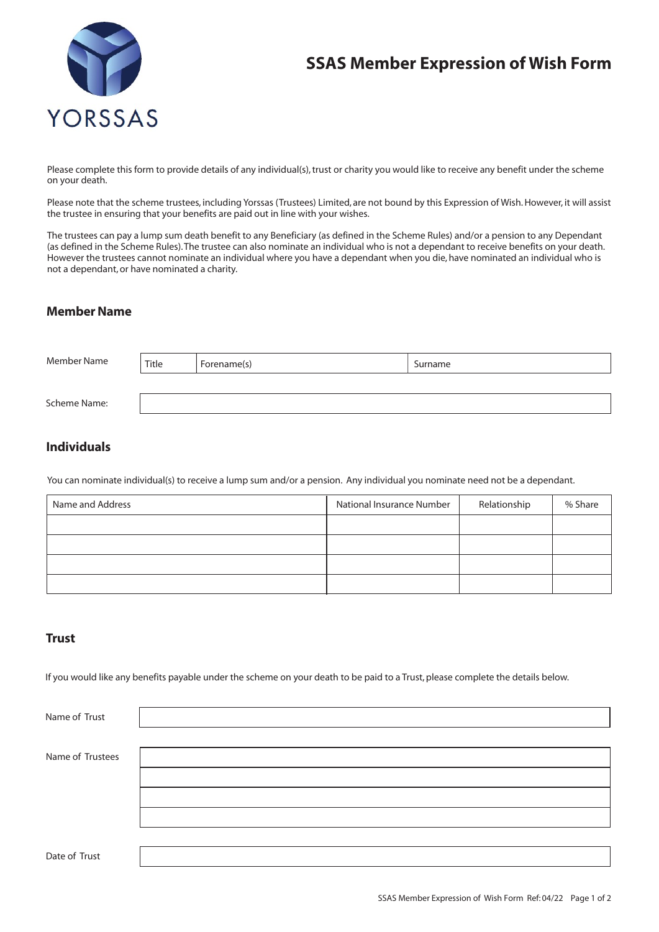

# **SSAS Member Expression of Wish Form**

Please complete this form to provide details of any individual(s), trust or charity you would like to receive any benefit under the scheme on your death.

Please note that the scheme trustees, including Yorssas (Trustees) Limited, are not bound by this Expression of Wish. However, it will assist the trustee in ensuring that your benefits are paid out in line with your wishes.

The trustees can pay a lump sum death benefit to any Beneficiary (as defined in the Scheme Rules) and/or a pension to any Dependant (as defined in the Scheme Rules). The trustee can also nominate an individual who is not a dependant to receive benefits on your death. However the trustees cannot nominate an individual where you have a dependant when you die, have nominated an individual who is not a dependant, or have nominated a charity.

#### **Member Name**

| Member Name  | Title | Forename(s) | Surname |
|--------------|-------|-------------|---------|
|              |       |             |         |
| Scheme Name: |       |             |         |

## **Individuals**

You can nominate individual(s) to receive a lump sum and/or a pension. Any individual you nominate need not be a dependant.

| Name and Address | National Insurance Number | Relationship | % Share |
|------------------|---------------------------|--------------|---------|
|                  |                           |              |         |
|                  |                           |              |         |
|                  |                           |              |         |
|                  |                           |              |         |

## **Trust**

If you would like any benefits payable under the scheme on your death to be paid to a Trust, please complete the details below.

| Name of Trust    |  |
|------------------|--|
|                  |  |
| Name of Trustees |  |
|                  |  |
|                  |  |
|                  |  |
|                  |  |
| Date of Trust    |  |